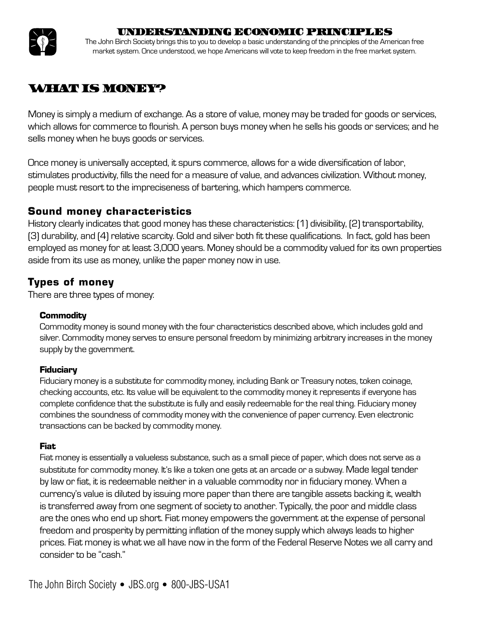



The John Birch Society brings this to you to develop a basic understanding of the principles of the American free market system. Once understood, we hope Americans will vote to keep freedom in the free market system.

# **WHAT IS MONEY?**

Money is simply a medium of exchange. As a store of value, money may be traded for goods or services, which allows for commerce to flourish. A person buys money when he sells his goods or services; and he sells money when he buys goods or services.

Once money is universally accepted, it spurs commerce, allows for a wide diversification of labor, stimulates productivity, fills the need for a measure of value, and advances civilization. Without money, people must resort to the impreciseness of bartering, which hampers commerce.

## **Sound money characteristics**

History clearly indicates that good money has these characteristics: (1) divisibility, (2) transportability, (3) durability, and (4) relative scarcity. Gold and silver both fit these qualifications. In fact, gold has been employed as money for at least 3,000 years. Money should be a commodity valued for its own properties aside from its use as money, unlike the paper money now in use.

# **Types of money**

There are three types of money:

#### **Commodity**

Commodity money is sound money with the four characteristics described above, which includes gold and silver. Commodity money serves to ensure personal freedom by minimizing arbitrary increases in the money supply by the government.

### **Fiduciary**

Fiduciary money is a substitute for commodity money, including Bank or Treasury notes, token coinage, checking accounts, etc. Its value will be equivalent to the commodity money it represents if everyone has complete confidence that the substitute is fully and easily redeemable for the real thing. Fiduciary money combines the soundness of commodity money with the convenience of paper currency. Even electronic transactions can be backed by commodity money.

### **Fiat**

Fiat money is essentially a valueless substance, such as a small piece of paper, which does not serve as a substitute for commodity money. It's like a token one gets at an arcade or a subway. Made legal tender by law or fiat, it is redeemable neither in a valuable commodity nor in fiduciary money. When a currency's value is diluted by issuing more paper than there are tangible assets backing it, wealth is transferred away from one segment of society to another. Typically, the poor and middle class are the ones who end up short. Fiat money empowers the government at the expense of personal freedom and prosperity by permitting inflation of the money supply which always leads to higher prices. Fiat money is what we all have now in the form of the Federal Reserve Notes we all carry and consider to be "cash."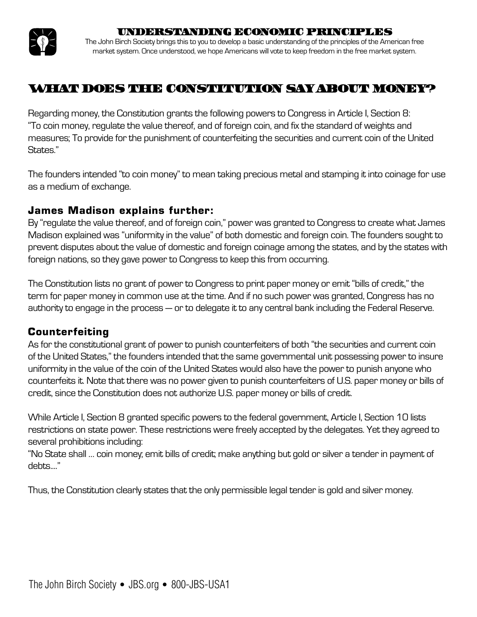

The John Birch Society brings this to you to develop a basic understanding of the principles of the American free market system. Once understood, we hope Americans will vote to keep freedom in the free market system.

# WHAT DOES THE CONSTITUTION SAY ABOUT MONEY?

Regarding money, the Constitution grants the following powers to Congress in Article I, Section 8: "To coin money, regulate the value thereof, and of foreign coin, and fix the standard of weights and measures; To provide for the punishment of counterfeiting the securities and current coin of the United States."

The founders intended "to coin money" to mean taking precious metal and stamping it into coinage for use as a medium of exchange.

### **James Madison explains further:**

By "regulate the value thereof, and of foreign coin," power was granted to Congress to create what James Madison explained was "uniformity in the value" of both domestic and foreign coin. The founders sought to prevent disputes about the value of domestic and foreign coinage among the states, and by the states with foreign nations, so they gave power to Congress to keep this from occurring.

The Constitution lists no grant of power to Congress to print paper money or emit "bills of credit," the term for paper money in common use at the time. And if no such power was granted, Congress has no authority to engage in the process — or to delegate it to any central bank including the Federal Reserve.

## **Counterfeiting**

As for the constitutional grant of power to punish counterfeiters of both "the securities and current coin of the United States," the founders intended that the same governmental unit possessing power to insure uniformity in the value of the coin of the United States would also have the power to punish anyone who counterfeits it. Note that there was no power given to punish counterfeiters of U.S. paper money or bills of credit, since the Constitution does not authorize U.S. paper money or bills of credit.

While Article I, Section 8 granted specific powers to the federal government, Article I, Section 10 lists restrictions on state power. These restrictions were freely accepted by the delegates. Yet they agreed to several prohibitions including:

"No State shall … coin money; emit bills of credit; make anything but gold or silver a tender in payment of debts...."

Thus, the Constitution clearly states that the only permissible legal tender is gold and silver money.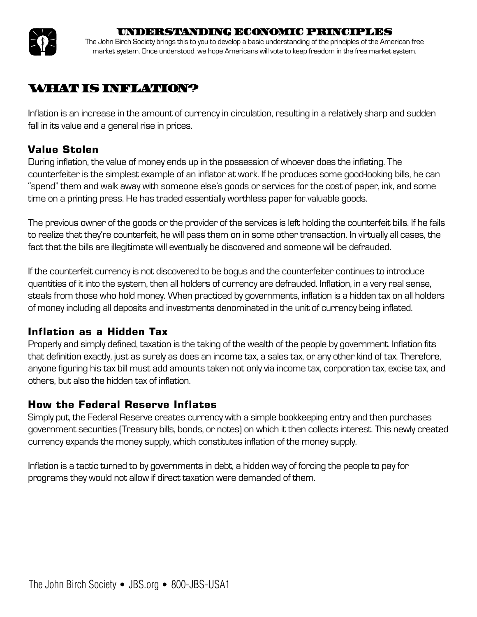

The John Birch Society brings this to you to develop a basic understanding of the principles of the American free market system. Once understood, we hope Americans will vote to keep freedom in the free market system.

## **WHAT IS INFLATION?**

Inflation is an increase in the amount of currency in circulation, resulting in a relatively sharp and sudden fall in its value and a general rise in prices.

## **Value Stolen**

During inflation, the value of money ends up in the possession of whoever does the inflating. The counterfeiter is the simplest example of an inflator at work. If he produces some good-looking bills, he can "spend" them and walk away with someone else's goods or services for the cost of paper, ink, and some time on a printing press. He has traded essentially worthless paper for valuable goods.

The previous owner of the goods or the provider of the services is left holding the counterfeit bills. If he fails to realize that they're counterfeit, he will pass them on in some other transaction. In virtually all cases, the fact that the bills are illegitimate will eventually be discovered and someone will be defrauded.

If the counterfeit currency is not discovered to be bogus and the counterfeiter continues to introduce quantities of it into the system, then all holders of currency are defrauded. Inflation, in a very real sense, steals from those who hold money. When practiced by governments, inflation is a hidden tax on all holders of money including all deposits and investments denominated in the unit of currency being inflated.

## **Inflation as a Hidden Tax**

Properly and simply defined, taxation is the taking of the wealth of the people by government. Inflation fits that definition exactly, just as surely as does an income tax, a sales tax, or any other kind of tax. Therefore, anyone figuring his tax bill must add amounts taken not only via income tax, corporation tax, excise tax, and others, but also the hidden tax of inflation.

## **How the Federal Reserve Inflates**

Simply put, the Federal Reserve creates currency with a simple bookkeeping entry and then purchases government securities (Treasury bills, bonds, or notes) on which it then collects interest. This newly created currency expands the money supply, which constitutes inflation of the money supply.

Inflation is a tactic turned to by governments in debt, a hidden way of forcing the people to pay for programs they would not allow if direct taxation were demanded of them.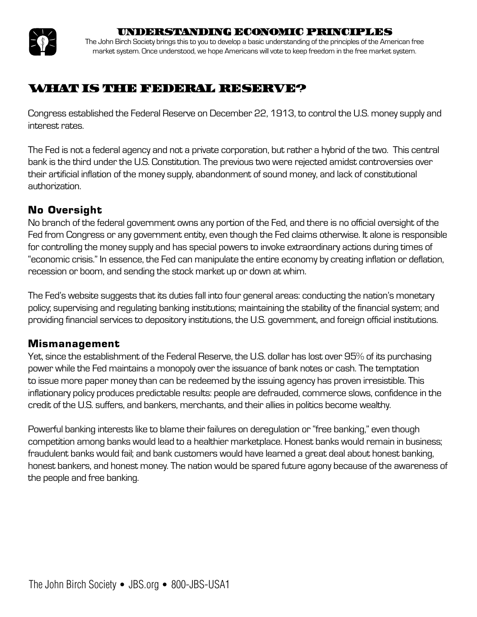

The John Birch Society brings this to you to develop a basic understanding of the principles of the American free market system. Once understood, we hope Americans will vote to keep freedom in the free market system.

# WHAT IS THE FEDERAL RESERVE?

Congress established the Federal Reserve on December 22, 1913, to control the U.S. money supply and interest rates.

The Fed is not a federal agency and not a private corporation, but rather a hybrid of the two. This central bank is the third under the U.S. Constitution. The previous two were rejected amidst controversies over their artificial inflation of the money supply, abandonment of sound money, and lack of constitutional authorization.

## **No Oversight**

No branch of the federal government owns any portion of the Fed, and there is no official oversight of the Fed from Congress or any government entity, even though the Fed claims otherwise. It alone is responsible for controlling the money supply and has special powers to invoke extraordinary actions during times of "economic crisis." In essence, the Fed can manipulate the entire economy by creating inflation or deflation, recession or boom, and sending the stock market up or down at whim.

The Fed's website suggests that its duties fall into four general areas: conducting the nation's monetary policy; supervising and regulating banking institutions; maintaining the stability of the financial system; and providing financial services to depository institutions, the U.S. government, and foreign official institutions.

## **Mismanagement**

Yet, since the establishment of the Federal Reserve, the U.S. dollar has lost over 95% of its purchasing power while the Fed maintains a monopoly over the issuance of bank notes or cash. The temptation to issue more paper money than can be redeemed by the issuing agency has proven irresistible. This inflationary policy produces predictable results: people are defrauded, commerce slows, confidence in the credit of the U.S. suffers, and bankers, merchants, and their allies in politics become wealthy.

Powerful banking interests like to blame their failures on deregulation or "free banking," even though competition among banks would lead to a healthier marketplace. Honest banks would remain in business; fraudulent banks would fail; and bank customers would have learned a great deal about honest banking, honest bankers, and honest money. The nation would be spared future agony because of the awareness of the people and free banking.